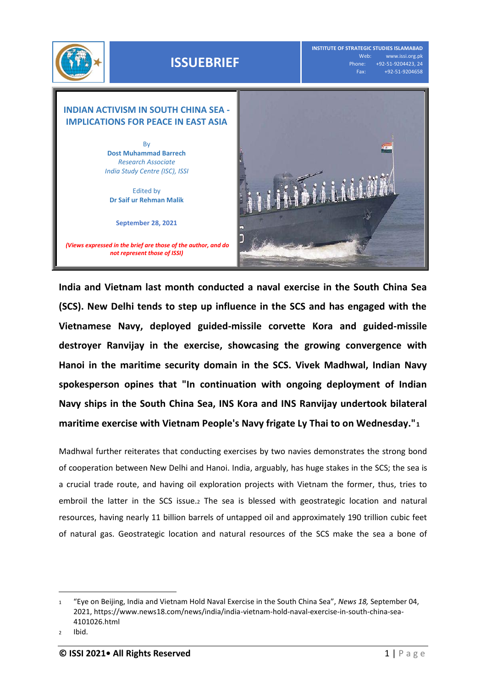

## **ISSUEBRIEF**

**INSTITUTE OF STRATEGIC STUDIES ISLAMABAD** Web: www.issi.org.pk<br>Phone: +92-51-9204423, 24 one: +92-51-9204423, 24<br>Fax: +92-51-9204658 Fax: +92-51-9204658

## **INDIAN ACTIVISM IN SOUTH CHINA SEA - IMPLICATIONS FOR PEACE IN EAST ASIA**

By **Dost Muhammad Barrech** *Research Associate India Study Centre (ISC), ISSI*

Edited by **Dr Saif ur Rehman Malik**

**September 28, 2021**

*(Views expressed in the brief are those of the author, and do not represent those of ISSI)*



**India and Vietnam last month conducted a naval exercise in the South China Sea (SCS). New Delhi tends to step up influence in the SCS and has engaged with the Vietnamese Navy, deployed guided-missile corvette Kora and guided-missile destroyer Ranvijay in the exercise, showcasing the growing convergence with Hanoi in the maritime security domain in the SCS. Vivek Madhwal, Indian Navy spokesperson opines that "In continuation with ongoing deployment of Indian Navy ships in the South China Sea, INS Kora and INS Ranvijay undertook bilateral maritime exercise with Vietnam People's Navy frigate Ly Thai to on Wednesday."<sup>1</sup>**

Madhwal further reiterates that conducting exercises by two navies demonstrates the strong bond of cooperation between New Delhi and Hanoi. India, arguably, has huge stakes in the SCS; the sea is a crucial trade route, and having oil exploration projects with Vietnam the former, thus, tries to embroil the latter in the SCS issue.<sup>2</sup> The sea is blessed with geostrategic location and natural resources, having nearly 11 billion barrels of untapped oil and approximately 190 trillion cubic feet of natural gas. Geostrategic location and natural resources of the SCS make the sea a bone of

 $\overline{a}$ 

<sup>1</sup> "Eye on Beijing, India and Vietnam Hold Naval Exercise in the South China Sea", *News 18,* September 04, 2021, [https://www.news18.com/news/india/india-vietnam-hold-naval-exercise-in-south-china-sea-](https://www.news18.com/news/india/india-vietnam-hold-naval-exercise-in-south-china-sea-4101026.html)[4101026.html](https://www.news18.com/news/india/india-vietnam-hold-naval-exercise-in-south-china-sea-4101026.html)

<sup>2</sup> Ibid.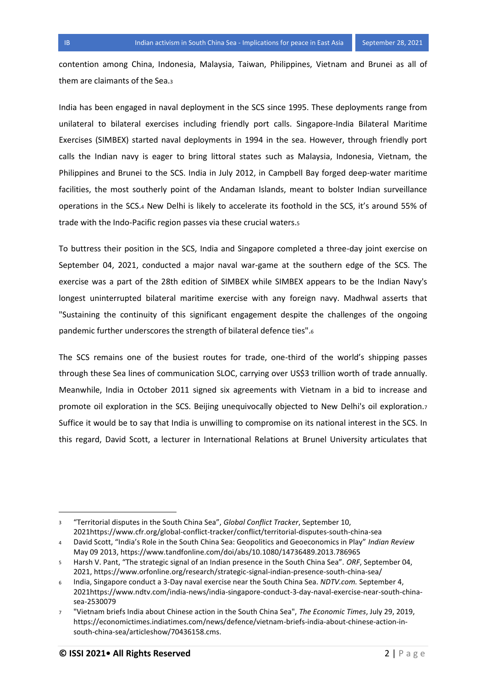contention among China, Indonesia, Malaysia, Taiwan, Philippines, Vietnam and Brunei as all of them are claimants of the Sea.<sup>3</sup>

India has been engaged in naval deployment in the SCS since 1995. These deployments range from unilateral to bilateral exercises including friendly port calls. Singapore-India Bilateral Maritime Exercises (SIMBEX) started naval deployments in 1994 in the sea. However, through friendly port calls the Indian navy is eager to bring littoral states such as Malaysia, Indonesia, Vietnam, the Philippines and Brunei to the SCS. India in July 2012, in Campbell Bay forged deep-water maritime facilities, the most southerly point of the Andaman Islands, meant to bolster Indian surveillance operations in the SCS.<sup>4</sup> New Delhi is likely to accelerate its foothold in the SCS, it's around 55% of trade with the Indo-Pacific region passes via these crucial waters.<sup>5</sup>

To buttress their position in the SCS, India and Singapore completed a three-day joint exercise on September 04, 2021, conducted a major naval war-game at the southern edge of the SCS. The exercise was a part of the 28th edition of SIMBEX while SIMBEX appears to be the Indian Navy's longest uninterrupted bilateral maritime exercise with any foreign navy. Madhwal asserts that "Sustaining the continuity of this significant engagement despite the challenges of the ongoing pandemic further underscores the strength of bilateral defence ties".<sup>6</sup>

The SCS remains one of the busiest routes for trade, one-third of the world's shipping passes through these Sea lines of communication SLOC, carrying over US\$3 trillion worth of trade annually. Meanwhile, India in October 2011 signed six agreements with Vietnam in a bid to increase and promote oil exploration in the SCS. Beijing unequivocally objected to New Delhi's oil exploration.<sup>7</sup> Suffice it would be to say that India is unwilling to compromise on its national interest in the SCS. In this regard, David Scott, a lecturer in International Relations at Brunel University articulates that

l

<sup>3</sup> "Territorial disputes in the South China Sea", *Global Conflict Tracker*, September 10, 202[1https://www.cfr.org/global-conflict-tracker/conflict/territorial-disputes-south-china-sea](https://www.cfr.org/global-conflict-tracker/conflict/territorial-disputes-south-china-sea)

<sup>4</sup> David Scott, "India's Role in the South China Sea: Geopolitics and Geoeconomics in Play" *Indian Review* May 09 2013[, https://www.tandfonline.com/doi/abs/10.1080/14736489.2013.786965](https://www.tandfonline.com/doi/abs/10.1080/14736489.2013.786965)

<sup>5</sup> Harsh V. Pant, "The strategic signal of an Indian presence in the South China Sea". *ORF*, September 04, 2021,<https://www.orfonline.org/research/strategic-signal-indian-presence-south-china-sea/>

<sup>6</sup> India, Singapore conduct a 3-Day naval exercise near the South China Sea. *NDTV.com.* September 4, 202[1https://www.ndtv.com/india-news/india-singapore-conduct-3-day-naval-exercise-near-south-china](https://www.ndtv.com/india-news/india-singapore-conduct-3-day-naval-exercise-near-south-china-sea-2530079)[sea-2530079](https://www.ndtv.com/india-news/india-singapore-conduct-3-day-naval-exercise-near-south-china-sea-2530079)

<sup>7</sup> "Vietnam briefs India about Chinese action in the South China Sea", *The Economic Times*, July 29, 2019, [https://economictimes.indiatimes.com/news/defence/vietnam-briefs-india-about-chinese-action-in](https://economictimes.indiatimes.com/news/defence/vietnam-briefs-india-about-chinese-action-in-south-china-sea/articleshow/70436158.cms)[south-china-sea/articleshow/70436158.cms.](https://economictimes.indiatimes.com/news/defence/vietnam-briefs-india-about-chinese-action-in-south-china-sea/articleshow/70436158.cms)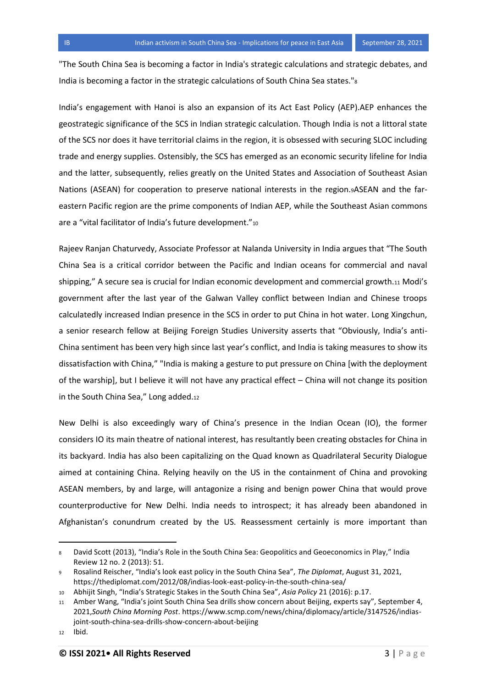"The South China Sea is becoming a factor in India's strategic calculations and strategic debates, and India is becoming a factor in the strategic calculations of South China Sea states."<sup>8</sup>

India's engagement with Hanoi is also an expansion of its Act East Policy (AEP).AEP enhances the geostrategic significance of the SCS in Indian strategic calculation. Though India is not a littoral state of the SCS nor does it have territorial claims in the region, it is obsessed with securing SLOC including trade and energy supplies. Ostensibly, the SCS has emerged as an economic security lifeline for India and the latter, subsequently, relies greatly on the United States and Association of Southeast Asian Nations (ASEAN) for cooperation to preserve national interests in the region.9ASEAN and the fareastern Pacific region are the prime components of Indian AEP, while the Southeast Asian commons are a "vital facilitator of India's future development."<sup>10</sup>

Rajeev Ranjan Chaturvedy, Associate Professor at Nalanda University in India argues that "The South China Sea is a critical corridor between the Pacific and Indian oceans for commercial and naval shipping," A secure sea is crucial for Indian economic development and commercial growth.<sup>11</sup> Modi's government after the last year of the Galwan Valley conflict between Indian and Chinese troops calculatedly increased Indian presence in the SCS in order to put China in hot water. Long Xingchun, a senior research fellow at Beijing Foreign Studies University asserts that "Obviously, India's anti-China sentiment has been very high since last year's conflict, and India is taking measures to show its dissatisfaction with China," "India is making a gesture to put pressure on China [with the deployment of the warship], but I believe it will not have any practical effect – China will not change its position in the South China Sea," Long added.12

New Delhi is also exceedingly wary of China's presence in the Indian Ocean (IO), the former considers IO its main theatre of national interest, has resultantly been creating obstacles for China in its backyard. India has also been capitalizing on the Quad known as Quadrilateral Security Dialogue aimed at containing China. Relying heavily on the US in the containment of China and provoking ASEAN members, by and large, will antagonize a rising and benign power China that would prove counterproductive for New Delhi. India needs to introspect; it has already been abandoned in Afghanistan's conundrum created by the US. Reassessment certainly is more important than

 $\overline{a}$ 

David Scott (2013), "India's Role in the South China Sea: Geopolitics and Geoeconomics in Play," India Review 12 no. 2 (2013): 51.

<sup>9</sup> Rosalind Reischer, "India's look east policy in the South China Sea", *The Diplomat*, August 31, 2021, <https://thediplomat.com/2012/08/indias-look-east-policy-in-the-south-china-sea/>

<sup>10</sup> Abhijit Singh, "India's Strategic Stakes in the South China Sea", *Asia Policy* 21 (2016): p.17.

<sup>11</sup> Amber Wang, "India's joint South China Sea drills show concern about Beijing, experts say", September 4, 2021,*South China Morning Post*. [https://www.scmp.com/news/china/diplomacy/article/3147526/indias](https://www.scmp.com/news/china/diplomacy/article/3147526/indias-joint-south-china-sea-drills-show-concern-about-beijing)[joint-south-china-sea-drills-show-concern-about-beijing](https://www.scmp.com/news/china/diplomacy/article/3147526/indias-joint-south-china-sea-drills-show-concern-about-beijing)

<sup>12</sup> Ibid.